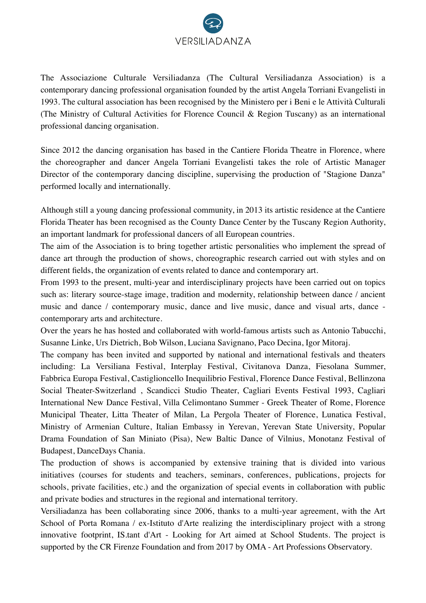

The Associazione Culturale Versiliadanza (The Cultural Versiliadanza Association) is a contemporary dancing professional organisation founded by the artist Angela Torriani Evangelisti in 1993. The cultural association has been recognised by the Ministero per i Beni e le Attività Culturali (The Ministry of Cultural Activities for Florence Council & Region Tuscany) as an international professional dancing organisation.

Since 2012 the dancing organisation has based in the Cantiere Florida Theatre in Florence, where the choreographer and dancer Angela Torriani Evangelisti takes the role of Artistic Manager Director of the contemporary dancing discipline, supervising the production of "Stagione Danza" performed locally and internationally.

Although still a young dancing professional community, in 2013 its artistic residence at the Cantiere Florida Theater has been recognised as the County Dance Center by the Tuscany Region Authority, an important landmark for professional dancers of all European countries.

The aim of the Association is to bring together artistic personalities who implement the spread of dance art through the production of shows, choreographic research carried out with styles and on different fields, the organization of events related to dance and contemporary art.

From 1993 to the present, multi-year and interdisciplinary projects have been carried out on topics such as: literary source-stage image, tradition and modernity, relationship between dance / ancient music and dance / contemporary music, dance and live music, dance and visual arts, dance contemporary arts and architecture.

Over the years he has hosted and collaborated with world-famous artists such as Antonio Tabucchi, Susanne Linke, Urs Dietrich, Bob Wilson, Luciana Savignano, Paco Decina, Igor Mitoraj.

The company has been invited and supported by national and international festivals and theaters including: La Versiliana Festival, Interplay Festival, Civitanova Danza, Fiesolana Summer, Fabbrica Europa Festival, Castiglioncello Inequilibrio Festival, Florence Dance Festival, Bellinzona Social Theater-Switzerland , Scandicci Studio Theater, Cagliari Events Festival 1993, Cagliari International New Dance Festival, Villa Celimontano Summer - Greek Theater of Rome, Florence Municipal Theater, Litta Theater of Milan, La Pergola Theater of Florence, Lunatica Festival, Ministry of Armenian Culture, Italian Embassy in Yerevan, Yerevan State University, Popular Drama Foundation of San Miniato (Pisa), New Baltic Dance of Vilnius, Monotanz Festival of Budapest, DanceDays Chania.

The production of shows is accompanied by extensive training that is divided into various initiatives (courses for students and teachers, seminars, conferences, publications, projects for schools, private facilities, etc.) and the organization of special events in collaboration with public and private bodies and structures in the regional and international territory.

Versiliadanza has been collaborating since 2006, thanks to a multi-year agreement, with the Art School of Porta Romana / ex-Istituto d'Arte realizing the interdisciplinary project with a strong innovative footprint, IS.tant d'Art - Looking for Art aimed at School Students. The project is supported by the CR Firenze Foundation and from 2017 by OMA - Art Professions Observatory.